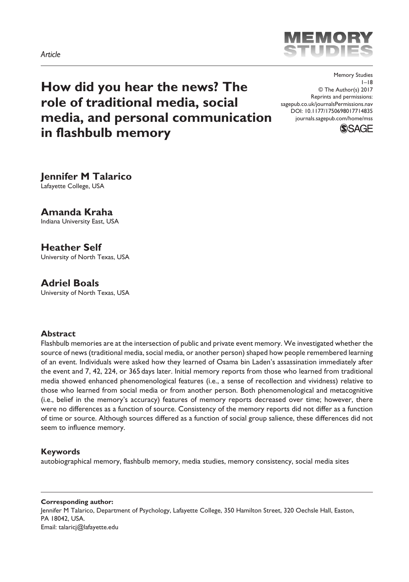

**How did you hear the news? The role of traditional media, social media, and personal communication in flashbulb memory**

DOI: 10.1177/1750698017714835 Memory Studies  $1 - 18$ © The Author(s) 2017 Reprints and permissions: [sagepub.co.uk/journalsPermissions.nav](https://uk.sagepub.com/en-gb/journals-permissions) [journals.sagepub.com/home/mss](https://journals.sagepub.com/home/mss)



**Jennifer M Talarico** Lafayette College, USA

# **Amanda Kraha**

Indiana University East, USA

# **Heather Self**

University of North Texas, USA

# **Adriel Boals**

University of North Texas, USA

### **Abstract**

Flashbulb memories are at the intersection of public and private event memory. We investigated whether the source of news (traditional media, social media, or another person) shaped how people remembered learning of an event. Individuals were asked how they learned of Osama bin Laden's assassination immediately after the event and 7, 42, 224, or 365days later. Initial memory reports from those who learned from traditional media showed enhanced phenomenological features (i.e., a sense of recollection and vividness) relative to those who learned from social media or from another person. Both phenomenological and metacognitive (i.e., belief in the memory's accuracy) features of memory reports decreased over time; however, there were no differences as a function of source. Consistency of the memory reports did not differ as a function of time or source. Although sources differed as a function of social group salience, these differences did not seem to influence memory.

#### **Keywords**

autobiographical memory, flashbulb memory, media studies, memory consistency, social media sites

#### **Corresponding author:**

Jennifer M Talarico, Department of Psychology, Lafayette College, 350 Hamilton Street, 320 Oechsle Hall, Easton, PA 18042, USA. Email: [talaricj@lafayette.edu](mailto:talaricj@lafayette.edu)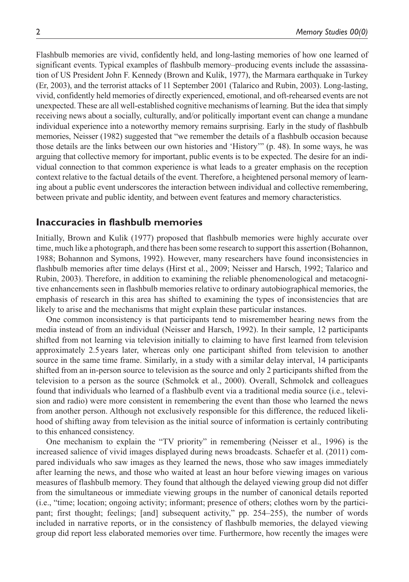Flashbulb memories are vivid, confidently held, and long-lasting memories of how one learned of significant events. Typical examples of flashbulb memory–producing events include the assassination of US President John F. Kennedy (Brown and Kulik, 1977), the Marmara earthquake in Turkey (Er, 2003), and the terrorist attacks of 11 September 2001 (Talarico and Rubin, 2003). Long-lasting, vivid, confidently held memories of directly experienced, emotional, and oft-rehearsed events are not unexpected. These are all well-established cognitive mechanisms of learning. But the idea that simply receiving news about a socially, culturally, and/or politically important event can change a mundane individual experience into a noteworthy memory remains surprising. Early in the study of flashbulb memories, Neisser (1982) suggested that "we remember the details of a flashbulb occasion because those details are the links between our own histories and 'History'" (p. 48). In some ways, he was arguing that collective memory for important, public events is to be expected. The desire for an individual connection to that common experience is what leads to a greater emphasis on the reception context relative to the factual details of the event. Therefore, a heightened personal memory of learning about a public event underscores the interaction between individual and collective remembering, between private and public identity, and between event features and memory characteristics.

## **Inaccuracies in flashbulb memories**

Initially, Brown and Kulik (1977) proposed that flashbulb memories were highly accurate over time, much like a photograph, and there has been some research to support this assertion (Bohannon, 1988; Bohannon and Symons, 1992). However, many researchers have found inconsistencies in flashbulb memories after time delays (Hirst et al., 2009; Neisser and Harsch, 1992; Talarico and Rubin, 2003). Therefore, in addition to examining the reliable phenomenological and metacognitive enhancements seen in flashbulb memories relative to ordinary autobiographical memories, the emphasis of research in this area has shifted to examining the types of inconsistencies that are likely to arise and the mechanisms that might explain these particular instances.

One common inconsistency is that participants tend to misremember hearing news from the media instead of from an individual (Neisser and Harsch, 1992). In their sample, 12 participants shifted from not learning via television initially to claiming to have first learned from television approximately 2.5 years later, whereas only one participant shifted from television to another source in the same time frame. Similarly, in a study with a similar delay interval, 14 participants shifted from an in-person source to television as the source and only 2 participants shifted from the television to a person as the source (Schmolck et al., 2000). Overall, Schmolck and colleagues found that individuals who learned of a flashbulb event via a traditional media source (i.e., television and radio) were more consistent in remembering the event than those who learned the news from another person. Although not exclusively responsible for this difference, the reduced likelihood of shifting away from television as the initial source of information is certainly contributing to this enhanced consistency.

One mechanism to explain the "TV priority" in remembering (Neisser et al., 1996) is the increased salience of vivid images displayed during news broadcasts. Schaefer et al. (2011) compared individuals who saw images as they learned the news, those who saw images immediately after learning the news, and those who waited at least an hour before viewing images on various measures of flashbulb memory. They found that although the delayed viewing group did not differ from the simultaneous or immediate viewing groups in the number of canonical details reported (i.e., "time; location; ongoing activity; informant; presence of others; clothes worn by the participant; first thought; feelings; [and] subsequent activity," pp. 254–255), the number of words included in narrative reports, or in the consistency of flashbulb memories, the delayed viewing group did report less elaborated memories over time. Furthermore, how recently the images were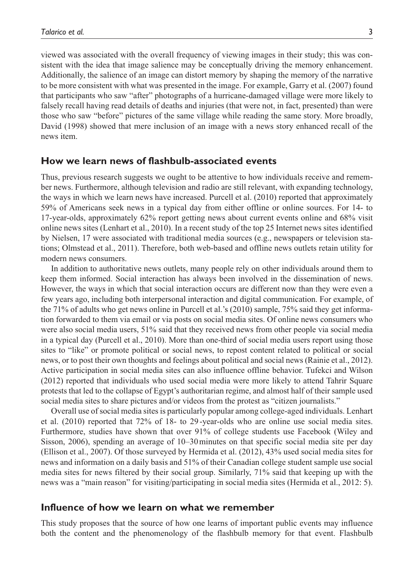viewed was associated with the overall frequency of viewing images in their study; this was consistent with the idea that image salience may be conceptually driving the memory enhancement. Additionally, the salience of an image can distort memory by shaping the memory of the narrative to be more consistent with what was presented in the image. For example, Garry et al. (2007) found that participants who saw "after" photographs of a hurricane-damaged village were more likely to falsely recall having read details of deaths and injuries (that were not, in fact, presented) than were those who saw "before" pictures of the same village while reading the same story. More broadly, David (1998) showed that mere inclusion of an image with a news story enhanced recall of the news item.

## **How we learn news of flashbulb-associated events**

Thus, previous research suggests we ought to be attentive to how individuals receive and remember news. Furthermore, although television and radio are still relevant, with expanding technology, the ways in which we learn news have increased. Purcell et al. (2010) reported that approximately 59% of Americans seek news in a typical day from either offline or online sources. For 14- to 17-year-olds, approximately 62% report getting news about current events online and 68% visit online news sites (Lenhart et al., 2010). In a recent study of the top 25 Internet news sites identified by Nielsen, 17 were associated with traditional media sources (e.g., newspapers or television stations; Olmstead et al., 2011). Therefore, both web-based and offline news outlets retain utility for modern news consumers.

In addition to authoritative news outlets, many people rely on other individuals around them to keep them informed. Social interaction has always been involved in the dissemination of news. However, the ways in which that social interaction occurs are different now than they were even a few years ago, including both interpersonal interaction and digital communication. For example, of the 71% of adults who get news online in Purcell et al.'s (2010) sample, 75% said they get information forwarded to them via email or via posts on social media sites. Of online news consumers who were also social media users, 51% said that they received news from other people via social media in a typical day (Purcell et al., 2010). More than one-third of social media users report using those sites to "like" or promote political or social news, to repost content related to political or social news, or to post their own thoughts and feelings about political and social news (Rainie et al., 2012). Active participation in social media sites can also influence offline behavior. Tufekci and Wilson (2012) reported that individuals who used social media were more likely to attend Tahrir Square protests that led to the collapse of Egypt's authoritarian regime, and almost half of their sample used social media sites to share pictures and/or videos from the protest as "citizen journalists."

Overall use of social media sites is particularly popular among college-aged individuals. Lenhart et al. (2010) reported that 72% of 18- to 29-year-olds who are online use social media sites. Furthermore, studies have shown that over 91% of college students use Facebook (Wiley and Sisson, 2006), spending an average of 10–30minutes on that specific social media site per day (Ellison et al., 2007). Of those surveyed by Hermida et al. (2012), 43% used social media sites for news and information on a daily basis and 51% of their Canadian college student sample use social media sites for news filtered by their social group. Similarly, 71% said that keeping up with the news was a "main reason" for visiting/participating in social media sites (Hermida et al., 2012: 5).

### **Influence of how we learn on what we remember**

This study proposes that the source of how one learns of important public events may influence both the content and the phenomenology of the flashbulb memory for that event. Flashbulb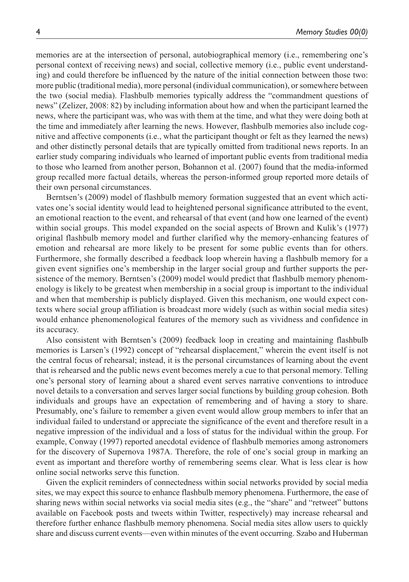memories are at the intersection of personal, autobiographical memory (i.e., remembering one's personal context of receiving news) and social, collective memory (i.e., public event understanding) and could therefore be influenced by the nature of the initial connection between those two: more public (traditional media), more personal (individual communication), or somewhere between the two (social media). Flashbulb memories typically address the "commandment questions of news" (Zelizer, 2008: 82) by including information about how and when the participant learned the news, where the participant was, who was with them at the time, and what they were doing both at the time and immediately after learning the news. However, flashbulb memories also include cognitive and affective components (i.e., what the participant thought or felt as they learned the news) and other distinctly personal details that are typically omitted from traditional news reports. In an earlier study comparing individuals who learned of important public events from traditional media to those who learned from another person, Bohannon et al. (2007) found that the media-informed group recalled more factual details, whereas the person-informed group reported more details of their own personal circumstances.

Berntsen's (2009) model of flashbulb memory formation suggested that an event which activates one's social identity would lead to heightened personal significance attributed to the event, an emotional reaction to the event, and rehearsal of that event (and how one learned of the event) within social groups. This model expanded on the social aspects of Brown and Kulik's (1977) original flashbulb memory model and further clarified why the memory-enhancing features of emotion and rehearsal are more likely to be present for some public events than for others. Furthermore, she formally described a feedback loop wherein having a flashbulb memory for a given event signifies one's membership in the larger social group and further supports the persistence of the memory. Berntsen's (2009) model would predict that flashbulb memory phenomenology is likely to be greatest when membership in a social group is important to the individual and when that membership is publicly displayed. Given this mechanism, one would expect contexts where social group affiliation is broadcast more widely (such as within social media sites) would enhance phenomenological features of the memory such as vividness and confidence in its accuracy.

Also consistent with Berntsen's (2009) feedback loop in creating and maintaining flashbulb memories is Larsen's (1992) concept of "rehearsal displacement," wherein the event itself is not the central focus of rehearsal; instead, it is the personal circumstances of learning about the event that is rehearsed and the public news event becomes merely a cue to that personal memory. Telling one's personal story of learning about a shared event serves narrative conventions to introduce novel details to a conversation and serves larger social functions by building group cohesion. Both individuals and groups have an expectation of remembering and of having a story to share. Presumably, one's failure to remember a given event would allow group members to infer that an individual failed to understand or appreciate the significance of the event and therefore result in a negative impression of the individual and a loss of status for the individual within the group. For example, Conway (1997) reported anecdotal evidence of flashbulb memories among astronomers for the discovery of Supernova 1987A. Therefore, the role of one's social group in marking an event as important and therefore worthy of remembering seems clear. What is less clear is how online social networks serve this function.

Given the explicit reminders of connectedness within social networks provided by social media sites, we may expect this source to enhance flashbulb memory phenomena. Furthermore, the ease of sharing news within social networks via social media sites (e.g., the "share" and "retweet" buttons available on Facebook posts and tweets within Twitter, respectively) may increase rehearsal and therefore further enhance flashbulb memory phenomena. Social media sites allow users to quickly share and discuss current events—even within minutes of the event occurring. Szabo and Huberman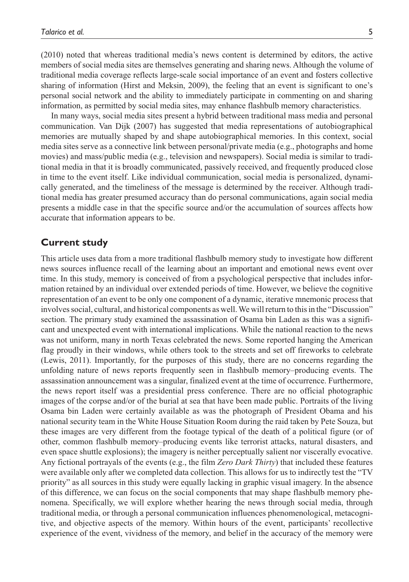(2010) noted that whereas traditional media's news content is determined by editors, the active members of social media sites are themselves generating and sharing news. Although the volume of traditional media coverage reflects large-scale social importance of an event and fosters collective sharing of information (Hirst and Meksin, 2009), the feeling that an event is significant to one's personal social network and the ability to immediately participate in commenting on and sharing information, as permitted by social media sites, may enhance flashbulb memory characteristics.

In many ways, social media sites present a hybrid between traditional mass media and personal communication. Van Dijk (2007) has suggested that media representations of autobiographical memories are mutually shaped by and shape autobiographical memories. In this context, social media sites serve as a connective link between personal/private media (e.g., photographs and home movies) and mass/public media (e.g., television and newspapers). Social media is similar to traditional media in that it is broadly communicated, passively received, and frequently produced close in time to the event itself. Like individual communication, social media is personalized, dynamically generated, and the timeliness of the message is determined by the receiver. Although traditional media has greater presumed accuracy than do personal communications, again social media presents a middle case in that the specific source and/or the accumulation of sources affects how accurate that information appears to be.

## **Current study**

This article uses data from a more traditional flashbulb memory study to investigate how different news sources influence recall of the learning about an important and emotional news event over time. In this study, memory is conceived of from a psychological perspective that includes information retained by an individual over extended periods of time. However, we believe the cognitive representation of an event to be only one component of a dynamic, iterative mnemonic process that involves social, cultural, and historical components as well. We will return to this in the "Discussion" section. The primary study examined the assassination of Osama bin Laden as this was a significant and unexpected event with international implications. While the national reaction to the news was not uniform, many in north Texas celebrated the news. Some reported hanging the American flag proudly in their windows, while others took to the streets and set off fireworks to celebrate (Lewis, 2011). Importantly, for the purposes of this study, there are no concerns regarding the unfolding nature of news reports frequently seen in flashbulb memory–producing events. The assassination announcement was a singular, finalized event at the time of occurrence. Furthermore, the news report itself was a presidential press conference. There are no official photographic images of the corpse and/or of the burial at sea that have been made public. Portraits of the living Osama bin Laden were certainly available as was the photograph of President Obama and his national security team in the White House Situation Room during the raid taken by Pete Souza, but these images are very different from the footage typical of the death of a political figure (or of other, common flashbulb memory–producing events like terrorist attacks, natural disasters, and even space shuttle explosions); the imagery is neither perceptually salient nor viscerally evocative. Any fictional portrayals of the events (e.g., the film *Zero Dark Thirty*) that included these features were available only after we completed data collection. This allows for us to indirectly test the "TV priority" as all sources in this study were equally lacking in graphic visual imagery. In the absence of this difference, we can focus on the social components that may shape flashbulb memory phenomena. Specifically, we will explore whether hearing the news through social media, through traditional media, or through a personal communication influences phenomenological, metacognitive, and objective aspects of the memory. Within hours of the event, participants' recollective experience of the event, vividness of the memory, and belief in the accuracy of the memory were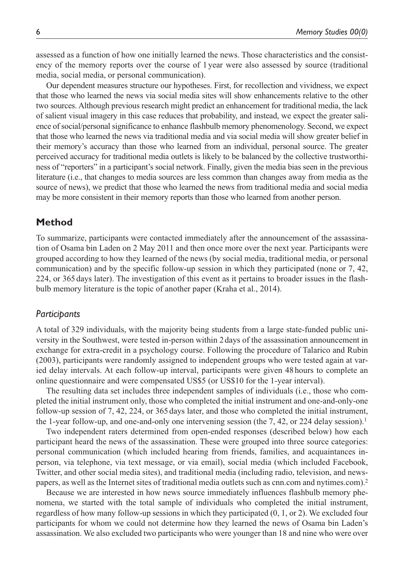assessed as a function of how one initially learned the news. Those characteristics and the consistency of the memory reports over the course of 1 year were also assessed by source (traditional media, social media, or personal communication).

Our dependent measures structure our hypotheses. First, for recollection and vividness, we expect that those who learned the news via social media sites will show enhancements relative to the other two sources. Although previous research might predict an enhancement for traditional media, the lack of salient visual imagery in this case reduces that probability, and instead, we expect the greater salience of social/personal significance to enhance flashbulb memory phenomenology. Second, we expect that those who learned the news via traditional media and via social media will show greater belief in their memory's accuracy than those who learned from an individual, personal source. The greater perceived accuracy for traditional media outlets is likely to be balanced by the collective trustworthiness of "reporters" in a participant's social network. Finally, given the media bias seen in the previous literature (i.e., that changes to media sources are less common than changes away from media as the source of news), we predict that those who learned the news from traditional media and social media may be more consistent in their memory reports than those who learned from another person.

## **Method**

To summarize, participants were contacted immediately after the announcement of the assassination of Osama bin Laden on 2 May 2011 and then once more over the next year. Participants were grouped according to how they learned of the news (by social media, traditional media, or personal communication) and by the specific follow-up session in which they participated (none or 7, 42, 224, or 365days later). The investigation of this event as it pertains to broader issues in the flashbulb memory literature is the topic of another paper (Kraha et al., 2014).

### *Participants*

A total of 329 individuals, with the majority being students from a large state-funded public university in the Southwest, were tested in-person within 2days of the assassination announcement in exchange for extra-credit in a psychology course. Following the procedure of Talarico and Rubin (2003), participants were randomly assigned to independent groups who were tested again at varied delay intervals. At each follow-up interval, participants were given 48hours to complete an online questionnaire and were compensated US\$5 (or US\$10 for the 1-year interval).

The resulting data set includes three independent samples of individuals (i.e., those who completed the initial instrument only, those who completed the initial instrument and one-and-only-one follow-up session of 7, 42, 224, or 365days later, and those who completed the initial instrument, the 1-year follow-up, and one-and-only one intervening session (the  $7, 42$ , or 224 delay session).<sup>1</sup>

Two independent raters determined from open-ended responses (described below) how each participant heard the news of the assassination. These were grouped into three source categories: personal communication (which included hearing from friends, families, and acquaintances inperson, via telephone, via text message, or via email), social media (which included Facebook, Twitter, and other social media sites), and traditional media (including radio, television, and newspapers, as well as the Internet sites of traditional media outlets such as cnn.com and nytimes.com).2

Because we are interested in how news source immediately influences flashbulb memory phenomena, we started with the total sample of individuals who completed the initial instrument, regardless of how many follow-up sessions in which they participated (0, 1, or 2). We excluded four participants for whom we could not determine how they learned the news of Osama bin Laden's assassination. We also excluded two participants who were younger than 18 and nine who were over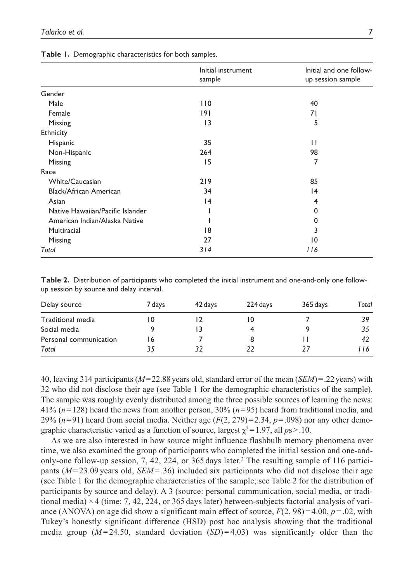|  |  | Table 1. Demographic characteristics for both samples. |  |  |  |  |
|--|--|--------------------------------------------------------|--|--|--|--|
|--|--|--------------------------------------------------------|--|--|--|--|

|                                  | Initial instrument<br>sample | Initial and one follow-<br>up session sample |  |  |
|----------------------------------|------------------------------|----------------------------------------------|--|--|
|                                  |                              |                                              |  |  |
| Gender                           |                              |                                              |  |  |
| Male                             | 110                          | 40                                           |  |  |
| Female                           | 9                            | 71                                           |  |  |
| Missing                          | $\overline{13}$              | 5                                            |  |  |
| Ethnicity                        |                              |                                              |  |  |
| Hispanic                         | 35                           | $\mathbf{H}$                                 |  |  |
| Non-Hispanic                     | 264                          | 98                                           |  |  |
| Missing                          | 15                           | 7                                            |  |  |
| Race                             |                              |                                              |  |  |
| White/Caucasian                  | 219                          | 85                                           |  |  |
| Black/African American           | 34                           | 4                                            |  |  |
| Asian                            | $\overline{14}$              | 4                                            |  |  |
| Native Hawaiian/Pacific Islander |                              | $\Omega$                                     |  |  |
| American Indian/Alaska Native    |                              | 0                                            |  |  |
| Multiracial                      | 18                           | 3                                            |  |  |
| Missing                          | 27                           | 10                                           |  |  |
| Total                            | 314                          | 116                                          |  |  |

**Table 2.** Distribution of participants who completed the initial instrument and one-and-only one followup session by source and delay interval.

| Delay source           | 7 days | 42 days | 224 days | 365 days | Total |
|------------------------|--------|---------|----------|----------|-------|
| Traditional media      |        |         |          |          | 39    |
| Social media           |        |         |          |          | 35    |
| Personal communication | 16     |         |          |          | 42    |
| Total                  | 35     |         | 22       | 77       | 116   |

40, leaving 314 participants (*M*=22.88years old, standard error of the mean (*SEM*)=.22years) with 32 who did not disclose their age (see Table 1 for the demographic characteristics of the sample). The sample was roughly evenly distributed among the three possible sources of learning the news: 41% (*n*=128) heard the news from another person, 30% (*n*=95) heard from traditional media, and 29%  $(n=91)$  heard from social media. Neither age  $(F(2, 279)=2.34, p=.098)$  nor any other demographic characteristic varied as a function of source, largest  $\chi^2 = 1.97$ , all  $ps > .10$ .

As we are also interested in how source might influence flashbulb memory phenomena over time, we also examined the group of participants who completed the initial session and one-andonly-one follow-up session, 7, 42, 224, or 365 days later.3 The resulting sample of 116 participants ( $M = 23.09$  years old,  $SEM = .36$ ) included six participants who did not disclose their age (see Table 1 for the demographic characteristics of the sample; see Table 2 for the distribution of participants by source and delay). A 3 (source: personal communication, social media, or traditional media) × 4 (time: 7, 42, 224, or 365 days later) between-subjects factorial analysis of variance (ANOVA) on age did show a significant main effect of source,  $F(2, 98) = 4.00$ ,  $p = .02$ , with Tukey's honestly significant difference (HSD) post hoc analysis showing that the traditional media group ( $M=24.50$ , standard deviation (*SD*)=4.03) was significantly older than the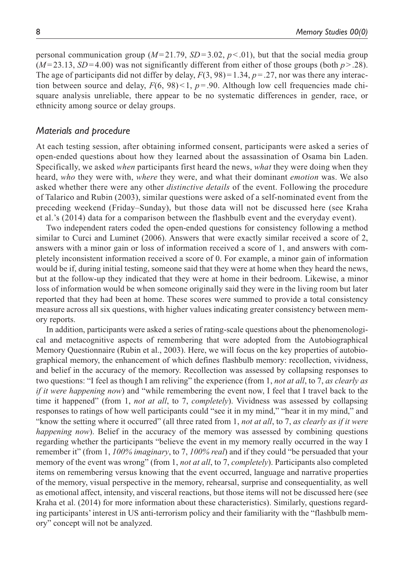personal communication group  $(M=21.79, SD=3.02, p<0.01)$ , but that the social media group  $(M=23.13, SD=4.00)$  was not significantly different from either of those groups (both  $p > .28$ ). The age of participants did not differ by delay,  $F(3, 98) = 1.34$ ,  $p = .27$ , nor was there any interaction between source and delay,  $F(6, 98) < 1$ ,  $p = .90$ . Although low cell frequencies made chisquare analysis unreliable, there appear to be no systematic differences in gender, race, or ethnicity among source or delay groups.

#### *Materials and procedure*

At each testing session, after obtaining informed consent, participants were asked a series of open-ended questions about how they learned about the assassination of Osama bin Laden. Specifically, we asked *when* participants first heard the news, *what* they were doing when they heard, *who* they were with, *where* they were, and what their dominant *emotion* was. We also asked whether there were any other *distinctive details* of the event. Following the procedure of Talarico and Rubin (2003), similar questions were asked of a self-nominated event from the preceding weekend (Friday–Sunday), but those data will not be discussed here (see Kraha et al.'s (2014) data for a comparison between the flashbulb event and the everyday event).

Two independent raters coded the open-ended questions for consistency following a method similar to Curci and Luminet (2006). Answers that were exactly similar received a score of 2, answers with a minor gain or loss of information received a score of 1, and answers with completely inconsistent information received a score of 0. For example, a minor gain of information would be if, during initial testing, someone said that they were at home when they heard the news, but at the follow-up they indicated that they were at home in their bedroom. Likewise, a minor loss of information would be when someone originally said they were in the living room but later reported that they had been at home. These scores were summed to provide a total consistency measure across all six questions, with higher values indicating greater consistency between memory reports.

In addition, participants were asked a series of rating-scale questions about the phenomenological and metacognitive aspects of remembering that were adopted from the Autobiographical Memory Questionnaire (Rubin et al., 2003). Here, we will focus on the key properties of autobiographical memory, the enhancement of which defines flashbulb memory: recollection, vividness, and belief in the accuracy of the memory. Recollection was assessed by collapsing responses to two questions: "I feel as though I am reliving" the experience (from 1, *not at all*, to 7, *as clearly as if it were happening now*) and "while remembering the event now, I feel that I travel back to the time it happened" (from 1, *not at all*, to 7, *completely*). Vividness was assessed by collapsing responses to ratings of how well participants could "see it in my mind," "hear it in my mind," and "know the setting where it occurred" (all three rated from 1, *not at all*, to 7, *as clearly as if it were happening now*). Belief in the accuracy of the memory was assessed by combining questions regarding whether the participants "believe the event in my memory really occurred in the way I remember it" (from 1, *100% imaginary*, to 7, *100% real*) and if they could "be persuaded that your memory of the event was wrong" (from 1, *not at all*, to 7, *completely*). Participants also completed items on remembering versus knowing that the event occurred, language and narrative properties of the memory, visual perspective in the memory, rehearsal, surprise and consequentiality, as well as emotional affect, intensity, and visceral reactions, but those items will not be discussed here (see Kraha et al. (2014) for more information about these characteristics). Similarly, questions regarding participants' interest in US anti-terrorism policy and their familiarity with the "flashbulb memory" concept will not be analyzed.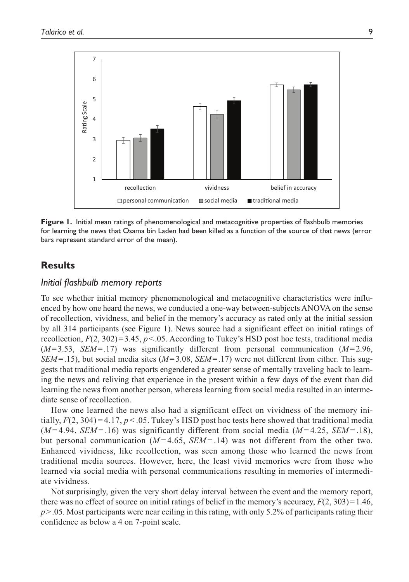

**Figure 1.** Initial mean ratings of phenomenological and metacognitive properties of flashbulb memories for learning the news that Osama bin Laden had been killed as a function of the source of that news (error bars represent standard error of the mean).

# **Results**

### *Initial flashbulb memory reports*

To see whether initial memory phenomenological and metacognitive characteristics were influenced by how one heard the news, we conducted a one-way between-subjects ANOVA on the sense of recollection, vividness, and belief in the memory's accuracy as rated only at the initial session by all 314 participants (see Figure 1). News source had a significant effect on initial ratings of recollection,  $F(2, 302)=3.45$ ,  $p<0.05$ . According to Tukey's HSD post hoc tests, traditional media (*M*=3.53, *SEM*=.17) was significantly different from personal communication (*M*=2.96, *SEM*=.15), but social media sites (*M*=3.08, *SEM*=.17) were not different from either. This suggests that traditional media reports engendered a greater sense of mentally traveling back to learning the news and reliving that experience in the present within a few days of the event than did learning the news from another person, whereas learning from social media resulted in an intermediate sense of recollection.

How one learned the news also had a significant effect on vividness of the memory initially,  $F(2, 304) = 4.17$ ,  $p < .05$ . Tukey's HSD post hoc tests here showed that traditional media  $(M=4.94, SEM=16)$  was significantly different from social media  $(M=4.25, SEM=18)$ , but personal communication  $(M=4.65, SEM=0.14)$  was not different from the other two. Enhanced vividness, like recollection, was seen among those who learned the news from traditional media sources. However, here, the least vivid memories were from those who learned via social media with personal communications resulting in memories of intermediate vividness.

Not surprisingly, given the very short delay interval between the event and the memory report, there was no effect of source on initial ratings of belief in the memory's accuracy,  $F(2, 303) = 1.46$ , *p*>.05. Most participants were near ceiling in this rating, with only 5.2% of participants rating their confidence as below a 4 on 7-point scale.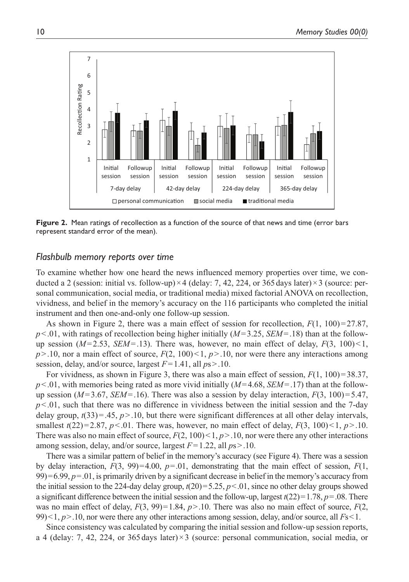

**Figure 2.** Mean ratings of recollection as a function of the source of that news and time (error bars represent standard error of the mean).

### *Flashbulb memory reports over time*

To examine whether how one heard the news influenced memory properties over time, we conducted a 2 (session: initial vs. follow-up) $\times$ 4 (delay: 7, 42, 224, or 365 days later) $\times$ 3 (source: personal communication, social media, or traditional media) mixed factorial ANOVA on recollection, vividness, and belief in the memory's accuracy on the 116 participants who completed the initial instrument and then one-and-only one follow-up session.

As shown in Figure 2, there was a main effect of session for recollection,  $F(1, 100) = 27.87$ , *p*<.01, with ratings of recollection being higher initially (*M*=3.25, *SEM*=.18) than at the followup session  $(M=2.53, SEM=13)$ . There was, however, no main effect of delay,  $F(3, 100) < 1$ ,  $p > 10$ , nor a main effect of source,  $F(2, 100) < 1$ ,  $p > 10$ , nor were there any interactions among session, delay, and/or source, largest *F*=1.41, all *p*s>.10.

For vividness, as shown in Figure 3, there was also a main effect of session,  $F(1, 100) = 38.37$ , *p*<.01, with memories being rated as more vivid initially (*M*=4.68, *SEM*=.17) than at the followup session ( $M=3.67$ , *SEM*=.16). There was also a session by delay interaction,  $F(3, 100)=5.47$ ,  $p<0.01$ , such that there was no difference in vividness between the initial session and the 7-day delay group,  $t(33)=0.45$ ,  $p>0.10$ , but there were significant differences at all other delay intervals, smallest  $t(22)=2.87$ ,  $p<0.01$ . There was, however, no main effect of delay,  $F(3, 100) <1$ ,  $p>10$ . There was also no main effect of source,  $F(2, 100) < 1, p > .10$ , nor were there any other interactions among session, delay, and/or source, largest *F*=1.22, all *p*s>.10.

There was a similar pattern of belief in the memory's accuracy (see Figure 4). There was a session by delay interaction,  $F(3, 99)=4.00$ ,  $p=.01$ , demonstrating that the main effect of session,  $F(1, 99)$  $99$ )=6.99,  $p=0.01$ , is primarily driven by a significant decrease in belief in the memory's accuracy from the initial session to the 224-day delay group, *t*(20)=5.25, *p*<.01, since no other delay groups showed a significant difference between the initial session and the follow-up, largest  $t(22)=1.78$ ,  $p=.08$ . There was no main effect of delay,  $F(3, 99) = 1.84$ ,  $p > 10$ . There was also no main effect of source,  $F(2, 100)$ 99)<1, *p*>.10, nor were there any other interactions among session, delay, and/or source, all *F*s<1.

Since consistency was calculated by comparing the initial session and follow-up session reports, a 4 (delay: 7, 42, 224, or 365 days later) $\times$ 3 (source: personal communication, social media, or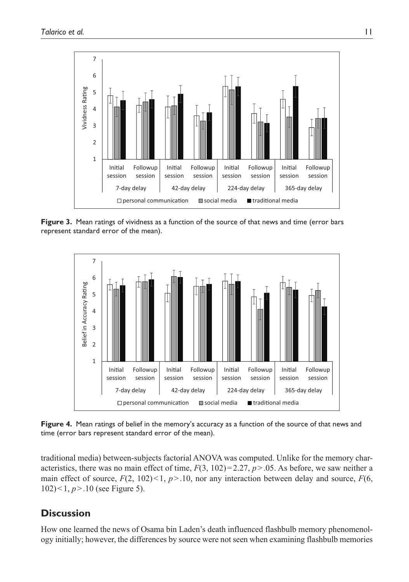

**Figure 3.** Mean ratings of vividness as a function of the source of that news and time (error bars represent standard error of the mean).



**Figure 4.** Mean ratings of belief in the memory's accuracy as a function of the source of that news and time (error bars represent standard error of the mean).

traditional media) between-subjects factorial ANOVA was computed. Unlike for the memory characteristics, there was no main effect of time,  $F(3, 102) = 2.27$ ,  $p > .05$ . As before, we saw neither a main effect of source,  $F(2, 102) < 1, p > 10$ , nor any interaction between delay and source,  $F(6, 102)$ 102)<1, *p*>.10 (see Figure 5).

# **Discussion**

How one learned the news of Osama bin Laden's death influenced flashbulb memory phenomenology initially; however, the differences by source were not seen when examining flashbulb memories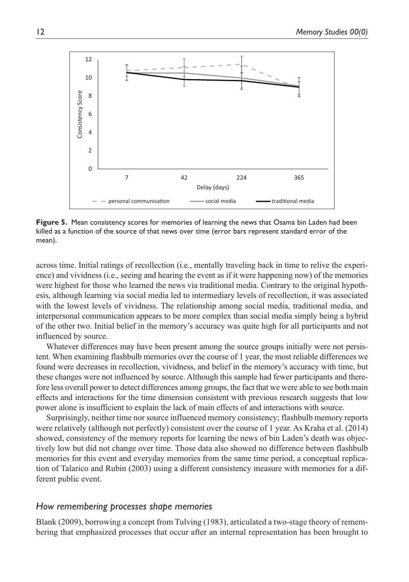

**Figure 5.** Mean consistency scores for memories of learning the news that Osama bin Laden had been killed as a function of the source of that news over time (error bars represent standard error of the mean).

across time. Initial ratings of recollection (i.e., mentally traveling back in time to relive the experience) and vividness (i.e., seeing and hearing the event as if it were happening now) of the memories were highest for those who learned the news via traditional media. Contrary to the original hypothesis, although learning via social media led to intermediary levels of recollection, it was associated with the lowest levels of vividness. The relationship among social media, traditional media, and interpersonal communication appears to be more complex than social media simply being a hybrid of the other two. Initial belief in the memory's accuracy was quite high for all participants and not influenced by source.

Whatever differences may have been present among the source groups initially were not persistent. When examining flashbulb memories over the course of 1 year, the most reliable differences we found were decreases in recollection, vividness, and belief in the memory's accuracy with time, but these changes were not influenced by source. Although this sample had fewer participants and therefore less overall power to detect differences among groups, the fact that we were able to see both main effects and interactions for the time dimension consistent with previous research suggests that low power alone is insufficient to explain the lack of main effects of and interactions with source.

Surprisingly, neither time nor source influenced memory consistency; flashbulb memory reports were relatively (although not perfectly) consistent over the course of 1 year. As Kraha et al. (2014) showed, consistency of the memory reports for learning the news of bin Laden's death was objectively low but did not change over time. Those data also showed no difference between flashbulb memories for this event and everyday memories from the same time period, a conceptual replication of Talarico and Rubin (2003) using a different consistency measure with memories for a different public event.

### *How remembering processes shape memories*

Blank (2009), borrowing a concept from Tulving (1983), articulated a two-stage theory of remembering that emphasized processes that occur after an internal representation has been brought to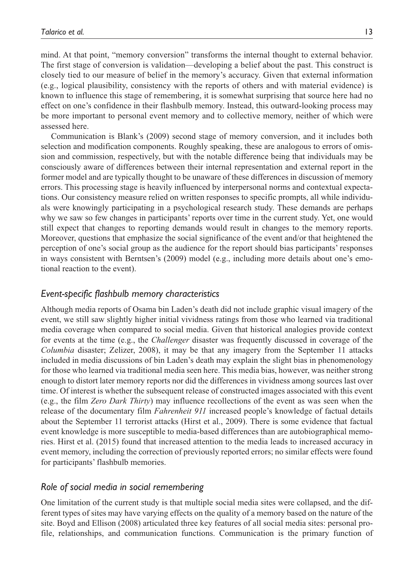mind. At that point, "memory conversion" transforms the internal thought to external behavior. The first stage of conversion is validation—developing a belief about the past. This construct is closely tied to our measure of belief in the memory's accuracy. Given that external information (e.g., logical plausibility, consistency with the reports of others and with material evidence) is known to influence this stage of remembering, it is somewhat surprising that source here had no effect on one's confidence in their flashbulb memory. Instead, this outward-looking process may be more important to personal event memory and to collective memory, neither of which were assessed here.

Communication is Blank's (2009) second stage of memory conversion, and it includes both selection and modification components. Roughly speaking, these are analogous to errors of omission and commission, respectively, but with the notable difference being that individuals may be consciously aware of differences between their internal representation and external report in the former model and are typically thought to be unaware of these differences in discussion of memory errors. This processing stage is heavily influenced by interpersonal norms and contextual expectations. Our consistency measure relied on written responses to specific prompts, all while individuals were knowingly participating in a psychological research study. These demands are perhaps why we saw so few changes in participants' reports over time in the current study. Yet, one would still expect that changes to reporting demands would result in changes to the memory reports. Moreover, questions that emphasize the social significance of the event and/or that heightened the perception of one's social group as the audience for the report should bias participants' responses in ways consistent with Berntsen's (2009) model (e.g., including more details about one's emotional reaction to the event).

### *Event-specific flashbulb memory characteristics*

Although media reports of Osama bin Laden's death did not include graphic visual imagery of the event, we still saw slightly higher initial vividness ratings from those who learned via traditional media coverage when compared to social media. Given that historical analogies provide context for events at the time (e.g., the *Challenger* disaster was frequently discussed in coverage of the *Columbia* disaster; Zelizer, 2008), it may be that any imagery from the September 11 attacks included in media discussions of bin Laden's death may explain the slight bias in phenomenology for those who learned via traditional media seen here. This media bias, however, was neither strong enough to distort later memory reports nor did the differences in vividness among sources last over time. Of interest is whether the subsequent release of constructed images associated with this event (e.g., the film *Zero Dark Thirty*) may influence recollections of the event as was seen when the release of the documentary film *Fahrenheit 911* increased people's knowledge of factual details about the September 11 terrorist attacks (Hirst et al., 2009). There is some evidence that factual event knowledge is more susceptible to media-based differences than are autobiographical memories. Hirst et al. (2015) found that increased attention to the media leads to increased accuracy in event memory, including the correction of previously reported errors; no similar effects were found for participants' flashbulb memories.

## *Role of social media in social remembering*

One limitation of the current study is that multiple social media sites were collapsed, and the different types of sites may have varying effects on the quality of a memory based on the nature of the site. Boyd and Ellison (2008) articulated three key features of all social media sites: personal profile, relationships, and communication functions. Communication is the primary function of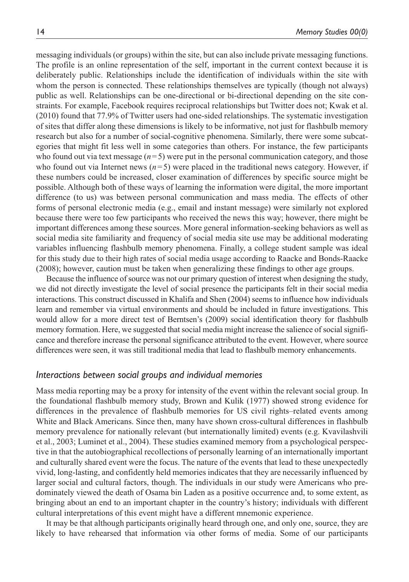messaging individuals (or groups) within the site, but can also include private messaging functions. The profile is an online representation of the self, important in the current context because it is deliberately public. Relationships include the identification of individuals within the site with whom the person is connected. These relationships themselves are typically (though not always) public as well. Relationships can be one-directional or bi-directional depending on the site constraints. For example, Facebook requires reciprocal relationships but Twitter does not; Kwak et al. (2010) found that 77.9% of Twitter users had one-sided relationships. The systematic investigation of sites that differ along these dimensions is likely to be informative, not just for flashbulb memory research but also for a number of social-cognitive phenomena. Similarly, there were some subcategories that might fit less well in some categories than others. For instance, the few participants who found out via text message  $(n=5)$  were put in the personal communication category, and those who found out via Internet news  $(n=5)$  were placed in the traditional news category. However, if these numbers could be increased, closer examination of differences by specific source might be possible. Although both of these ways of learning the information were digital, the more important difference (to us) was between personal communication and mass media. The effects of other forms of personal electronic media (e.g., email and instant message) were similarly not explored because there were too few participants who received the news this way; however, there might be important differences among these sources. More general information-seeking behaviors as well as social media site familiarity and frequency of social media site use may be additional moderating variables influencing flashbulb memory phenomena. Finally, a college student sample was ideal for this study due to their high rates of social media usage according to Raacke and Bonds-Raacke (2008); however, caution must be taken when generalizing these findings to other age groups.

Because the influence of source was not our primary question of interest when designing the study, we did not directly investigate the level of social presence the participants felt in their social media interactions. This construct discussed in Khalifa and Shen (2004) seems to influence how individuals learn and remember via virtual environments and should be included in future investigations. This would allow for a more direct test of Berntsen's (2009) social identification theory for flashbulb memory formation. Here, we suggested that social media might increase the salience of social significance and therefore increase the personal significance attributed to the event. However, where source differences were seen, it was still traditional media that lead to flashbulb memory enhancements.

#### *Interactions between social groups and individual memories*

Mass media reporting may be a proxy for intensity of the event within the relevant social group. In the foundational flashbulb memory study, Brown and Kulik (1977) showed strong evidence for differences in the prevalence of flashbulb memories for US civil rights–related events among White and Black Americans. Since then, many have shown cross-cultural differences in flashbulb memory prevalence for nationally relevant (but internationally limited) events (e.g. Kvavilashvili et al., 2003; Luminet et al., 2004). These studies examined memory from a psychological perspective in that the autobiographical recollections of personally learning of an internationally important and culturally shared event were the focus. The nature of the events that lead to these unexpectedly vivid, long-lasting, and confidently held memories indicates that they are necessarily influenced by larger social and cultural factors, though. The individuals in our study were Americans who predominately viewed the death of Osama bin Laden as a positive occurrence and, to some extent, as bringing about an end to an important chapter in the country's history; individuals with different cultural interpretations of this event might have a different mnemonic experience.

It may be that although participants originally heard through one, and only one, source, they are likely to have rehearsed that information via other forms of media. Some of our participants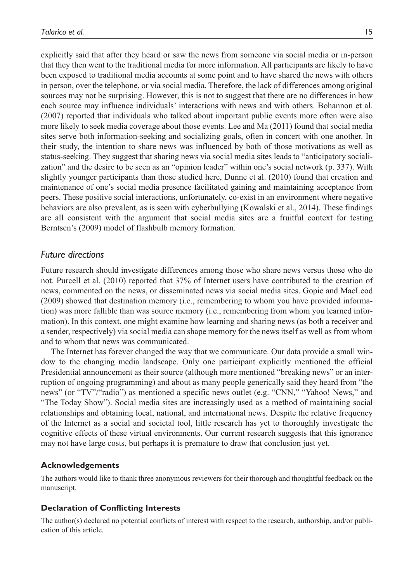explicitly said that after they heard or saw the news from someone via social media or in-person that they then went to the traditional media for more information. All participants are likely to have been exposed to traditional media accounts at some point and to have shared the news with others in person, over the telephone, or via social media. Therefore, the lack of differences among original sources may not be surprising. However, this is not to suggest that there are no differences in how each source may influence individuals' interactions with news and with others. Bohannon et al. (2007) reported that individuals who talked about important public events more often were also more likely to seek media coverage about those events. Lee and Ma (2011) found that social media sites serve both information-seeking and socializing goals, often in concert with one another. In their study, the intention to share news was influenced by both of those motivations as well as status-seeking. They suggest that sharing news via social media sites leads to "anticipatory socialization" and the desire to be seen as an "opinion leader" within one's social network (p. 337). With slightly younger participants than those studied here, Dunne et al. (2010) found that creation and maintenance of one's social media presence facilitated gaining and maintaining acceptance from peers. These positive social interactions, unfortunately, co-exist in an environment where negative behaviors are also prevalent, as is seen with cyberbullying (Kowalski et al., 2014). These findings are all consistent with the argument that social media sites are a fruitful context for testing Berntsen's (2009) model of flashbulb memory formation.

## *Future directions*

Future research should investigate differences among those who share news versus those who do not. Purcell et al. (2010) reported that 37% of Internet users have contributed to the creation of news, commented on the news, or disseminated news via social media sites. Gopie and MacLeod (2009) showed that destination memory (i.e., remembering to whom you have provided information) was more fallible than was source memory (i.e., remembering from whom you learned information). In this context, one might examine how learning and sharing news (as both a receiver and a sender, respectively) via social media can shape memory for the news itself as well as from whom and to whom that news was communicated.

The Internet has forever changed the way that we communicate. Our data provide a small window to the changing media landscape. Only one participant explicitly mentioned the official Presidential announcement as their source (although more mentioned "breaking news" or an interruption of ongoing programming) and about as many people generically said they heard from "the news" (or "TV"/"radio") as mentioned a specific news outlet (e.g. "CNN," "Yahoo! News," and "The Today Show"). Social media sites are increasingly used as a method of maintaining social relationships and obtaining local, national, and international news. Despite the relative frequency of the Internet as a social and societal tool, little research has yet to thoroughly investigate the cognitive effects of these virtual environments. Our current research suggests that this ignorance may not have large costs, but perhaps it is premature to draw that conclusion just yet.

### **Acknowledgements**

The authors would like to thank three anonymous reviewers for their thorough and thoughtful feedback on the manuscript.

### **Declaration of Conflicting Interests**

The author(s) declared no potential conflicts of interest with respect to the research, authorship, and/or publication of this article.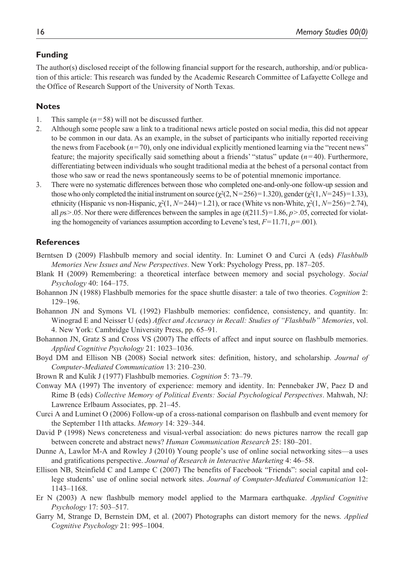## **Funding**

The author(s) disclosed receipt of the following financial support for the research, authorship, and/or publication of this article: This research was funded by the Academic Research Committee of Lafayette College and the Office of Research Support of the University of North Texas.

## **Notes**

- 1. This sample (*n*=58) will not be discussed further.
- 2. Although some people saw a link to a traditional news article posted on social media, this did not appear to be common in our data. As an example, in the subset of participants who initially reported receiving the news from Facebook  $(n=70)$ , only one individual explicitly mentioned learning via the "recent news" feature; the majority specifically said something about a friends' "status" update (*n*=40). Furthermore, differentiating between individuals who sought traditional media at the behest of a personal contact from those who saw or read the news spontaneously seems to be of potential mnemonic importance.
- 3. There were no systematic differences between those who completed one-and-only-one follow-up session and those who only completed the initial instrument on source ( $\chi^2(2, N=256)=1.320$ ), gender ( $\chi^2(1, N=245)=1.33$ ), ethnicity (Hispanic vs non-Hispanic,  $\chi^2(1, N=244)=1.21$ ), or race (White vs non-White,  $\chi^2(1, N=256)=2.74$ ), all  $p_s$ >.05. Nor there were differences between the samples in age ( $t(211.5)=1.86$ ,  $p>$ .05, corrected for violating the homogeneity of variances assumption according to Levene's test, *F*=11.71, *p*=.001).

## **References**

- Berntsen D (2009) Flashbulb memory and social identity. In: Luminet O and Curci A (eds) *Flashbulb Memories New Issues and New Perspectives*. New York: Psychology Press, pp. 187–205.
- Blank H (2009) Remembering: a theoretical interface between memory and social psychology. *Social Psychology* 40: 164–175.
- Bohannon JN (1988) Flashbulb memories for the space shuttle disaster: a tale of two theories. *Cognition* 2: 129–196.
- Bohannon JN and Symons VL (1992) Flashbulb memories: confidence, consistency, and quantity. In: Winograd E and Neisser U (eds) *Affect and Accuracy in Recall: Studies of "Flashbulb" Memories*, vol. 4. New York: Cambridge University Press, pp. 65–91.
- Bohannon JN, Gratz S and Cross VS (2007) The effects of affect and input source on flashbulb memories. *Applied Cognitive Psychology* 21: 1023–1036.
- Boyd DM and Ellison NB (2008) Social network sites: definition, history, and scholarship. *Journal of Computer-Mediated Communication* 13: 210–230.
- Brown R and Kulik J (1977) Flashbulb memories. *Cognition* 5: 73–79.
- Conway MA (1997) The inventory of experience: memory and identity. In: Pennebaker JW, Paez D and Rime B (eds) *Collective Memory of Political Events: Social Psychological Perspectives*. Mahwah, NJ: Lawrence Erlbaum Associates, pp. 21–45.
- Curci A and Luminet O (2006) Follow-up of a cross-national comparison on flashbulb and event memory for the September 11th attacks. *Memory* 14: 329–344.
- David P (1998) News concreteness and visual-verbal association: do news pictures narrow the recall gap between concrete and abstract news? *Human Communication Research* 25: 180–201.
- Dunne A, Lawlor M-A and Rowley J (2010) Young people's use of online social networking sites—a uses and gratifications perspective. *Journal of Research in Interactive Marketing* 4: 46–58.
- Ellison NB, Steinfield C and Lampe C (2007) The benefits of Facebook "Friends": social capital and college students' use of online social network sites. *Journal of Computer-Mediated Communication* 12: 1143–1168.
- Er N (2003) A new flashbulb memory model applied to the Marmara earthquake. *Applied Cognitive Psychology* 17: 503–517.
- Garry M, Strange D, Bernstein DM, et al. (2007) Photographs can distort memory for the news. *Applied Cognitive Psychology* 21: 995–1004.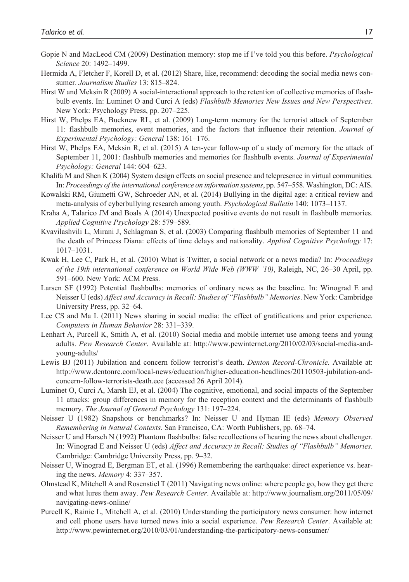- Gopie N and MacLeod CM (2009) Destination memory: stop me if I've told you this before. *Psychological Science* 20: 1492–1499.
- Hermida A, Fletcher F, Korell D, et al. (2012) Share, like, recommend: decoding the social media news consumer. *Journalism Studies* 13: 815–824.
- Hirst W and Meksin R (2009) A social-interactional approach to the retention of collective memories of flashbulb events. In: Luminet O and Curci A (eds) *Flashbulb Memories New Issues and New Perspectives*. New York: Psychology Press, pp. 207–225.
- Hirst W, Phelps EA, Bucknew RL, et al. (2009) Long-term memory for the terrorist attack of September 11: flashbulb memories, event memories, and the factors that influence their retention. *Journal of Experimental Psychology: General* 138: 161–176.
- Hirst W, Phelps EA, Meksin R, et al. (2015) A ten-year follow-up of a study of memory for the attack of September 11, 2001: flashbulb memories and memories for flashbulb events. *Journal of Experimental Psychology: General* 144: 604–623.
- Khalifa M and Shen K (2004) System design effects on social presence and telepresence in virtual communities. In: *Proceedings of the international conference on information systems*, pp. 547–558. Washington, DC: AIS.
- Kowalski RM, Giumetti GW, Schroeder AN, et al. (2014) Bullying in the digital age: a critical review and meta-analysis of cyberbullying research among youth. *Psychological Bulletin* 140: 1073–1137.
- Kraha A, Talarico JM and Boals A (2014) Unexpected positive events do not result in flashbulb memories. *Applied Cognitive Psychology* 28: 579–589.
- Kvavilashvili L, Mirani J, Schlagman S, et al. (2003) Comparing flashbulb memories of September 11 and the death of Princess Diana: effects of time delays and nationality. *Applied Cognitive Psychology* 17: 1017–1031.
- Kwak H, Lee C, Park H, et al. (2010) What is Twitter, a social network or a news media? In: *Proceedings of the 19th international conference on World Wide Web (WWW '10)*, Raleigh, NC, 26–30 April, pp. 591–600. New York: ACM Press.
- Larsen SF (1992) Potential flashbulbs: memories of ordinary news as the baseline. In: Winograd E and Neisser U (eds) *Affect and Accuracy in Recall: Studies of "Flashbulb" Memories*. New York: Cambridge University Press, pp. 32–64.
- Lee CS and Ma L (2011) News sharing in social media: the effect of gratifications and prior experience. *Computers in Human Behavior* 28: 331–339.
- Lenhart A, Purcell K, Smith A, et al. (2010) Social media and mobile internet use among teens and young adults. *Pew Research Center*. Available at: [http://www.pewinternet.org/2010/02/03/social-media-and](http://www.pewinternet.org/2010/02/03/social-media-and-young-adults/)[young-adults/](http://www.pewinternet.org/2010/02/03/social-media-and-young-adults/)
- Lewis BJ (2011) Jubilation and concern follow terrorist's death. *Denton Record-Chronicle*. Available at: [http://www.dentonrc.com/local-news/education/higher-education-headlines/20110503-jubilation-and](http://www.dentonrc.com/local-news/education/higher-education-headlines/20110503-jubilation-and-concern-follow-terrorists-death.ece)[concern-follow-terrorists-death.ece](http://www.dentonrc.com/local-news/education/higher-education-headlines/20110503-jubilation-and-concern-follow-terrorists-death.ece) (accessed 26 April 2014).
- Luminet O, Curci A, Marsh EJ, et al. (2004) The cognitive, emotional, and social impacts of the September 11 attacks: group differences in memory for the reception context and the determinants of flashbulb memory. *The Journal of General Psychology* 131: 197–224.
- Neisser U (1982) Snapshots or benchmarks? In: Neisser U and Hyman IE (eds) *Memory Observed Remembering in Natural Contexts*. San Francisco, CA: Worth Publishers, pp. 68–74.
- Neisser U and Harsch N (1992) Phantom flashbulbs: false recollections of hearing the news about challenger. In: Winograd E and Neisser U (eds) *Affect and Accuracy in Recall: Studies of "Flashbulb" Memories*. Cambridge: Cambridge University Press, pp. 9–32.
- Neisser U, Winograd E, Bergman ET, et al. (1996) Remembering the earthquake: direct experience vs. hearing the news. *Memory* 4: 337–357.
- Olmstead K, Mitchell A and Rosenstiel T (2011) Navigating news online: where people go, how they get there and what lures them away. *Pew Research Center*. Available at: [http://www.journalism.org/2011/05/09/](http://www.journalism.org/2011/05/09/navigating-news-online/) [navigating-news-online/](http://www.journalism.org/2011/05/09/navigating-news-online/)
- Purcell K, Rainie L, Mitchell A, et al. (2010) Understanding the participatory news consumer: how internet and cell phone users have turned news into a social experience. *Pew Research Center*. Available at: <http://www.pewinternet.org/2010/03/01/understanding-the-participatory-news-consumer/>